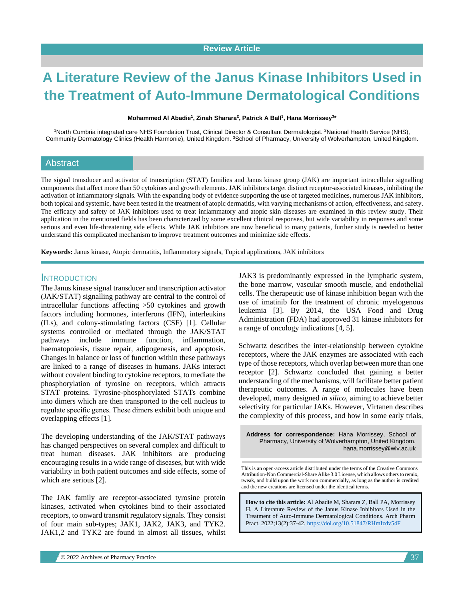# **A Literature Review of the Janus Kinase Inhibitors Used in the Treatment of Auto-Immune Dermatological Conditions**

#### **Mohammed Al Abadie<sup>1</sup> , Zinah Sharara<sup>2</sup> , Patrick A Ball<sup>3</sup> , Hana Morrissey<sup>3</sup> \***

<sup>1</sup>North Cumbria integrated care NHS Foundation Trust, Clinical Director & Consultant Dermatologist. <sup>2</sup>National Health Service (NHS), Community Dermatology Clinics (Health Harmonie), United Kingdom. <sup>3</sup>School of Pharmacy, University of Wolverhampton, United Kingdom.

#### Abstract

The signal transducer and activator of transcription (STAT) families and Janus kinase group (JAK) are important intracellular signalling components that affect more than 50 cytokines and growth elements. JAK inhibitors target distinct receptor-associated kinases, inhibiting the activation of inflammatory signals. With the expanding body of evidence supporting the use of targeted medicines, numerous JAK inhibitors, both topical and systemic, have been tested in the treatment of atopic dermatitis, with varying mechanisms of action, effectiveness, and safety. The efficacy and safety of JAK inhibitors used to treat inflammatory and atopic skin diseases are examined in this review study. Their application in the mentioned fields has been characterized by some excellent clinical responses, but wide variability in responses and some serious and even life-threatening side effects. While JAK inhibitors are now beneficial to many patients, further study is needed to better understand this complicated mechanism to improve treatment outcomes and minimize side effects.

**Keywords:** Janus kinase, Atopic dermatitis, Inflammatory signals, Topical applications, JAK inhibitors

#### INTRODUCTION

The Janus kinase signal transducer and transcription activator (JAK/STAT) signalling pathway are central to the control of intracellular functions affecting >50 cytokines and growth factors including hormones, interferons (IFN), interleukins (ILs), and colony-stimulating factors (CSF) [1]. Cellular systems controlled or mediated through the JAK/STAT pathways include immune function, inflammation, haematopoiesis, tissue repair, adipogenesis, and apoptosis. Changes in balance or loss of function within these pathways are linked to a range of diseases in humans. JAKs interact without covalent binding to cytokine receptors, to mediate the phosphorylation of tyrosine on receptors, which attracts STAT proteins. Tyrosine-phosphorylated STATs combine into dimers which are then transported to the cell nucleus to regulate specific genes. These dimers exhibit both unique and overlapping effects [1].

The developing understanding of the JAK/STAT pathways has changed perspectives on several complex and difficult to treat human diseases. JAK inhibitors are producing encouraging results in a wide range of diseases, but with wide variability in both patient outcomes and side effects, some of which are serious [2].

The JAK family are receptor-associated tyrosine protein kinases, activated when cytokines bind to their associated receptors, to onward transmit regulatory signals. They consist of four main sub-types; JAK1, JAK2, JAK3, and TYK2. JAK1,2 and TYK2 are found in almost all tissues, whilst JAK3 is predominantly expressed in the lymphatic system, the bone marrow, vascular smooth muscle, and endothelial cells. The therapeutic use of kinase inhibition began with the use of imatinib for the treatment of chronic myelogenous leukemia [3]. By 2014, the USA Food and Drug Administration (FDA) had approved 31 kinase inhibitors for a range of oncology indications [4, 5].

Schwartz describes the inter-relationship between cytokine receptors, where the JAK enzymes are associated with each type of those receptors, which overlap between more than one receptor [2]. Schwartz concluded that gaining a better understanding of the mechanisms, will facilitate better patient therapeutic outcomes. A range of molecules have been developed, many designed *in silico*, aiming to achieve better selectivity for particular JAKs. However, Virtanen describes the complexity of this process, and how in some early trials,

**Address for correspondence:** Hana Morrissey, School of Pharmacy, University of Wolverhampton, United Kingdom. hana.morrissey@wlv.ac.uk

This is an open-access article distributed under the terms of the Creative Commons Attribution-Non Commercial-Share Alike 3.0 License, which allows others to remix, tweak, and build upon the work non commercially, as long as the author is credited and the new creations are licensed under the identical terms.

**How to cite this article:** Al Abadie M, Sharara Z, Ball PA, Morrissey H*.* A Literature Review of the Janus Kinase Inhibitors Used in the Treatment of Auto-Immune Dermatological Conditions. Arch Pharm Pract. 2022;13(2):37-42[. https://doi.org/10.51847/RHmIzdv54F](https://doi.org/10.51847/RHmIzdv54F)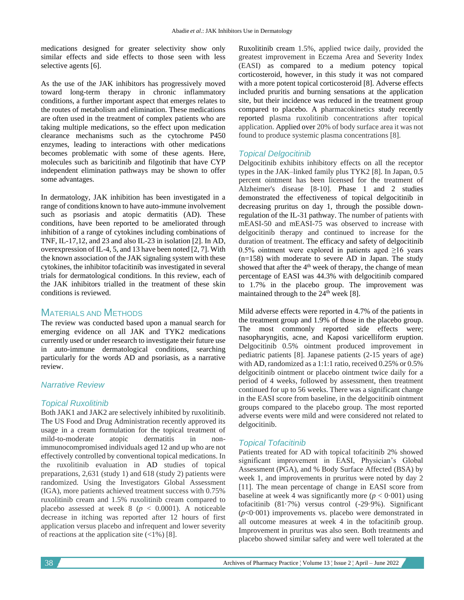medications designed for greater selectivity show only similar effects and side effects to those seen with less selective agents [6].

As the use of the JAK inhibitors has progressively moved toward long-term therapy in chronic inflammatory conditions, a further important aspect that emerges relates to the routes of metabolism and elimination. These medications are often used in the treatment of complex patients who are taking multiple medications, so the effect upon medication clearance mechanisms such as the cytochrome P450 enzymes, leading to interactions with other medications becomes problematic with some of these agents. Here, molecules such as baricitinib and filgotinib that have CYP independent elimination pathways may be shown to offer some advantages.

In dermatology, JAK inhibition has been investigated in a range of conditions known to have auto-immune involvement such as psoriasis and atopic dermatitis (AD). These conditions, have been reported to be ameliorated through inhibition of a range of cytokines including combinations of TNF, IL-17,12, and 23 and also IL-23 in isolation [2]. In AD, overexpression of IL-4, 5, and 13 have been noted [2, 7]. With the known association of the JAK signaling system with these cytokines, the inhibitor tofacitinib was investigated in several trials for dermatological conditions. In this review, each of the JAK inhibitors trialled in the treatment of these skin conditions is reviewed.

## MATERIALS AND METHODS

The review was conducted based upon a manual search for emerging evidence on all JAK and TYK2 medications currently used or under research to investigate their future use in auto-immune dermatological conditions, searching particularly for the words AD and psoriasis, as a narrative review.

### *Narrative Review*

## *Topical Ruxolitinib*

Both JAK1 and JAK2 are selectively inhibited by ruxolitinib. The US Food and Drug Administration recently approved its usage in a cream formulation for the topical treatment of mild-to-moderate atopic dermatitis in nonimmunocompromised individuals aged 12 and up who are not effectively controlled by conventional topical medications. In the ruxolitinib evaluation in AD studies of topical preparations, 2,631 (study 1) and 618 (study 2) patients were randomized. Using the Investigators Global Assessment (IGA), more patients achieved treatment success with 0.75% ruxolitinib cream and 1.5% ruxolitinib cream compared to placebo assessed at week  $8$  ( $p < 0.0001$ ). A noticeable decrease in itching was reported after 12 hours of first application versus placebo and infrequent and lower severity of [reactions](https://www.sciencedirect.com/topics/medicine-and-dentistry/application-site-reaction) at the application site  $(\langle 1\% \rangle)$  [8].

Ruxolitinib cream 1.5%, applied twice daily, provided the greatest improvement in Eczema Area and Severity Index (EASI) as compared to a medium potency topical corticosteroid, however, in this study it was not compared with a more potent topical corticosteroid [8]. Adverse effects included pruritis and burning sensations at the application site, but their incidence was reduced in the treatment group compared to placebo. A pharmacokinetics study recently reported plasma ruxolitinib concentrations after topical application. Applied over 20% of body surface area it was not found to produce systemic plasma concentrations [8].

## *Topical Delgocitinib*

Delgocitinib exhibits inhibitory effects on all the receptor types in the JAK–linked family plus TYK2 [8]. In Japan, 0.5 percent ointment has been licensed for the treatment of Alzheimer's disease [8-10]. Phase 1 and 2 studies demonstrated the effectiveness of topical delgocitinib in decreasing pruritus on day 1, through the possible downregulation of the IL-31 pathway. The number of patients with mEASI-50 and mEASI-75 was observed to increase with delgocitinib therapy and continued to increase for the duration of treatment. The efficacy and safety of delgocitinib 0.5% ointment were explored in patients aged  $\geq 16$  years (n=158) with moderate to severe AD in Japan. The study showed that after the 4<sup>th</sup> week of therapy, the change of mean percentage of EASI was 44.3% with delgocitinib compared to 1.7% in the placebo group. The improvement was maintained through to the  $24<sup>th</sup>$  week [8].

Mild adverse effects were reported in 4.7% of the patients in the treatment group and 1.9% of those in the placebo group. The most commonly reported side effects were; nasopharyngitis, acne, and Kaposi varicelliform eruption. Delgocitinib 0.5% ointment produced improvement in pediatric patients [8]. Japanese patients (2-15 years of age) with AD, randomized as a 1:1:1 ratio, received 0.25% or 0.5% delgocitinib ointment or placebo ointment twice daily for a period of 4 weeks, followed by assessment, then treatment continued for up to 56 weeks. There was a significant change in the [EASI](https://www.sciencedirect.com/topics/medicine-and-dentistry/eczema) score from baseline, in the delgocitinib ointment groups compared to the placebo group. The most reported adverse events were mild and were considered not related to delgocitinib.

#### *Topical Tofacitinib*

Patients treated for AD with topical tofacitinib 2% showed significant improvement in EASI, Physician's Global Assessment (PGA), and % Body Surface Affected (BSA) by week 1, and improvements in pruritus were noted by day 2 [11]. The mean percentage of change in EASI score from baseline at week 4 was significantly more  $(p < 0.001)$  using tofacitinib (81·7%) versus control (-29·9%). Significant (*p*<0·001) improvements vs. placebo were demonstrated in all outcome measures at week 4 in the tofacitinib group. Improvement in pruritus was also seen. Both treatments and placebo showed similar safety and were well tolerated at the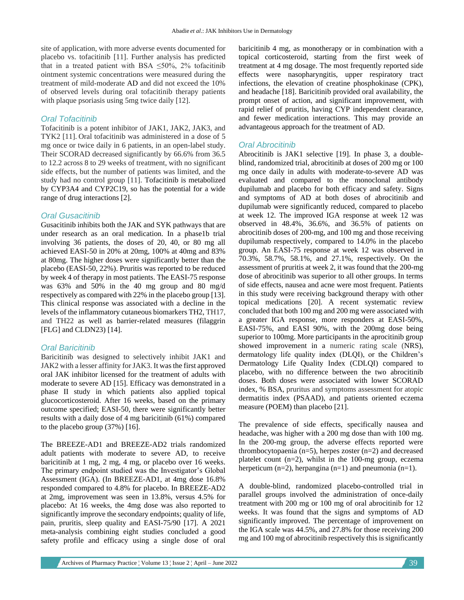site of application, with more adverse events documented for placebo vs. tofacitinib [11]. Further analysis has predicted that in a treated patient with BSA  $\leq 50\%$ , 2% tofacitinib ointment systemic concentrations were measured during the treatment of mild-moderate AD and did not exceed the 10% of observed levels during oral tofacitinib therapy patients with plaque psoriasis using 5mg twice daily [12].

#### *Oral Tofacitinib*

Tofacitinib is a potent inhibitor of JAK1, JAK2, JAK3, and TYK2 [11]. Oral tofacitinib was administered in a dose of 5 mg once or twice daily in 6 patients, in an open-label study. Their SCORAD decreased significantly by 66.6% from 36.5 to 12.2 across 8 to 29 weeks of treatment, with no significant side effects, but the number of patients was limited, and the study had no control group [11]. Tofacitinib is metabolized by CYP3A4 and CYP2C19, so has the potential for a wide range of drug interactions [2].

#### *Oral Gusacitinib*

Gusacitinib inhibits both the JAK and SYK pathways that are under research as an oral medication. In a phase1b trial involving 36 patients, the doses of 20, 40, or 80 mg all achieved EASI-50 in 20% at 20mg, 100% at 40mg and 83% at 80mg. The higher doses were significantly better than the placebo (EASI-50, 22%). Pruritis was reported to be reduced by week 4 of therapy in most patients. The EASI-75 response was 63% and 50% in the 40 mg group and 80 mg/d respectively as compared with 22% in the placebo group [13]. This clinical response was associated with a decline in the levels of the inflammatory cutaneous biomarkers TH2, TH17, and TH22 as well as barrier-related measures (filaggrin [FLG] and CLDN23) [14].

#### *Oral Baricitinib*

Baricitinib was designed to selectively inhibit JAK1 and JAK2 with a lesser affinity for JAK3. It was the first approved oral JAK inhibitor licensed for the treatment of adults with moderate to severe AD [15]. Efficacy was demonstrated in a phase II study in which patients also applied topical glucocorticosteroid. After 16 weeks, based on the primary outcome specified; EASI-50, there were significantly better results with a daily dose of 4 mg baricitinib (61%) compared to the placebo group (37%) [16].

The BREEZE-AD1 and BREEZE-AD2 trials randomized adult patients with moderate to severe AD, to receive baricitinib at 1 mg, 2 mg, 4 mg, or placebo over 16 weeks. The primary endpoint studied was the Investigator's Global Assessment (IGA). (In BREEZE-AD1, at 4mg dose 16.8% responded compared to 4.8% for placebo. In BREEZE-AD2 at 2mg, improvement was seen in 13.8%, versus 4.5% for placebo: At 16 weeks, the 4mg dose was also reported to significantly improve the secondary endpoints; quality of life, pain, pruritis, sleep quality and EASI-75/90 [17]. A 2021 meta-analysis combining eight studies concluded a good safety profile and efficacy using a single dose of oral

baricitinib 4 mg, as monotherapy or in combination with a topical corticosteroid, starting from the first week of treatment at 4 mg dosage. The most frequently reported side effects were nasopharyngitis, upper respiratory tract infections, the elevation of creatine phosphokinase (CPK), and headache [18]. Baricitinib provided oral availability, the prompt onset of action, and significant improvement, with rapid relief of pruritis, having CYP independent clearance, and fewer medication interactions. This may provide an advantageous approach for the treatment of AD.

#### *Oral Abrocitinib*

Abrocitinib is JAK1 selective [19]. In phase 3, a doubleblind, randomized trial, abrocitinib at doses of 200 mg or 100 mg once daily in adults with moderate-to-severe AD was evaluated and compared to the monoclonal antibody dupilumab and placebo for both efficacy and safety. Signs and symptoms of AD at both doses of abrocitinib and dupilumab were significantly reduced, compared to placebo at week 12. The improved IGA response at week 12 was observed in 48.4%, 36.6%, and 36.5% of patients on abrocitinib doses of 200-mg, and 100 mg and those receiving dupilumab respectively, compared to 14.0% in the placebo group. An EASI-75 response at week 12 was observed in 70.3%, 58.7%, 58.1%, and 27.1%, respectively. On the assessment of pruritis at week 2, it was found that the 200-mg dose of abrocitinib was superior to all other groups. In terms of side effects, nausea and acne were most frequent. Patients in this study were receiving background therapy with other topical medications [20]. A recent systematic review concluded that both 100 mg and 200 mg were associated with a greater IGA response, more responders at EASI-50%, EASI-75%, and EASI 90%, with the 200mg dose being superior to 100mg. More participants in the aprocitinib group showed improvement in a numeric rating scale (NRS), dermatology life quality index (DLQI), or the Children's Dermatology Life Quality Index (CDLQI) compared to placebo, with no difference between the two abrocitinib doses. Both doses were associated with lower SCORAD index, % BSA, pruritus and symptoms assessment for atopic dermatitis index (PSAAD), and patients oriented eczema measure (POEM) than placebo [21].

The prevalence of side effects, specifically nausea and headache, was higher with a 200 mg dose than with 100 mg. In the 200-mg group, the adverse effects reported were thrombocytopaenia (n=5), herpes zoster (n=2) and decreased platelet count (n=2), whilst in the 100-mg group, eczema herpeticum  $(n=2)$ , herpangina  $(n=1)$  and pneumonia  $(n=1)$ .

A double-blind, randomized placebo-controlled trial in parallel groups involved the administration of once-daily treatment with 200 mg or 100 mg of oral abrocitinib for 12 weeks. It was found that the signs and symptoms of AD significantly improved. The percentage of improvement on the IGA scale was 44.5%, and 27.8% for those receiving 200 mg and 100 mg of abrocitinib respectively this is significantly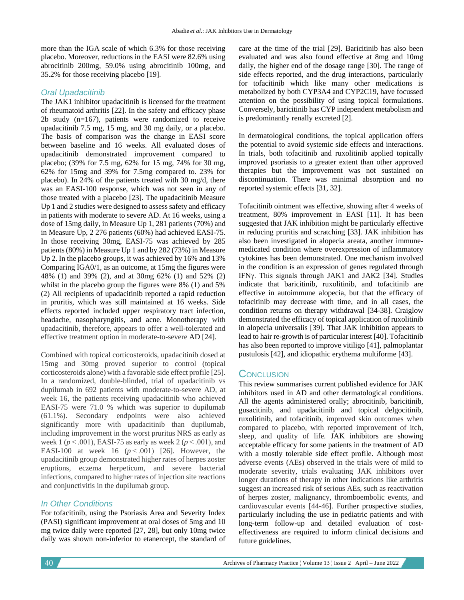more than the IGA scale of which 6.3% for those receiving placebo. Moreover, reductions in the EASI were 82.6% using abrocitinib 200mg, 59.0% using abrocitinib 100mg, and 35.2% for those receiving placebo [19].

### *Oral Upadacitinib*

The JAK1 inhibitor upadacitinib is licensed for the treatment of rheumatoid arthritis [22]. In the safety and efficacy phase 2b study (n=167), patients were randomized to receive upadacitinib 7.5 mg, 15 mg, and 30 mg daily, or a placebo. The basis of comparison was the change in EASI score between baseline and 16 weeks. All evaluated doses of upadacitinib demonstrated improvement compared to placebo; (39% for 7.5 mg, 62% for 15 mg, 74% for 30 mg, 62% for 15mg and 39% for 7.5mg compared to. 23% for placebo). In 24% of the patients treated with 30 mg/d, there was an EASI-100 response, which was not seen in any of those treated with a placebo [23]. The upadacitinib Measure Up 1 and 2 studies were designed to assess safety and efficacy in patients with moderate to severe AD. At 16 weeks, using a dose of 15mg daily, in Measure Up 1, 281 patients (70%) and in Measure Up, 2 276 patients (60%) had achieved EASI-75. In those receiving 30mg, EASI-75 was achieved by 285 patients (80%) in Measure Up 1 and by 282 (73%) in Measure Up 2. In the placebo groups, it was achieved by 16% and 13% Comparing IGA0/1, as an outcome, at 15mg the figures were 48% (1) and 39% (2), and at 30mg 62% (1) and 52% (2) whilst in the placebo group the figures were 8% (1) and 5% (2) All recipients of upadacitinib reported a rapid reduction in pruritis, which was still maintained at 16 weeks. Side effects reported included upper respiratory tract infection, headache, nasopharyngitis, and acne. Monotherapy with upadacitinib, therefore, appears to offer a well-tolerated and effective treatment option in moderate-to-severe AD [24].

Combined with topical corticosteroids, upadacitinib dosed at 15mg and 30mg proved superior to control (topical corticosteroids alone) with a favorable side effect profile [25]. In a randomized, double-blinded, trial of upadacitinib vs dupilumab in 692 patients with moderate-to-severe AD, at week 16, the patients receiving upadacitinib who achieved EASI-75 were 71.0 % which was superior to dupilumab (61.1%). Secondary endpoints were also achieved significantly more with upadacitinib than dupilumab, including improvement in the worst pruritus NRS as early as week 1 ( $p < .001$ ), EASI-75 as early as week 2 ( $p < .001$ ), and EASI-100 at week 16  $(p < .001)$  [26]. However, the upadacitinib group demonstrated higher rates of herpes zoster eruptions, eczema herpeticum, and severe bacterial infections, compared to higher rates of injection site reactions and conjunctivitis in the dupilumab group.

## *In Other Conditions*

For tofacitinib, using the Psoriasis Area and Severity Index (PASI) significant improvement at oral doses of 5mg and 10 mg twice daily were reported [27, 28], but only 10mg twice daily was shown non-inferior to etanercept, the standard of care at the time of the trial [29]. Baricitinib has also been evaluated and was also found effective at 8mg and 10mg daily, the higher end of the dosage range [30]. The range of side effects reported, and the drug interactions, particularly for tofacitinib which like many other medications is metabolized by both CYP3A4 and CYP2C19, have focussed attention on the possibility of using topical formulations. Conversely, baricitinib has CYP independent metabolism and is predominantly renally excreted [2].

In dermatological conditions, the topical application offers the potential to avoid systemic side effects and interactions. In trials, both tofacitinib and ruxolitinib applied topically improved psoriasis to a greater extent than other approved therapies but the improvement was not sustained on discontinuation. There was minimal absorption and no reported systemic effects [31, 32].

Tofacitinib ointment was effective, showing after 4 weeks of treatment, 80% improvement in EASI [11]. It has been suggested that JAK inhibition might be particularly effective in reducing pruritis and scratching [33]. JAK inhibition has also been investigated in alopecia areata, another immunemedicated condition where overexpression of inflammatory cytokines has been demonstrated. One mechanism involved in the condition is an expression of genes regulated through IFNγ. This signals through JAK1 and JAK2 [34]. Studies indicate that baricitinib, ruxolitinib, and tofacitinib are effective in autoimmune alopecia, but that the efficacy of tofacitinib may decrease with time, and in all cases, the condition returns on therapy withdrawal [34-38]. Craiglow demonstrated the efficacy of topical application of ruxolitinib in alopecia universalis [39]. That JAK inhibition appears to lead to hair re-growth is of particular interest [40]. Tofacitinib has also been reported to improve vitiligo [41], palmoplantar pustulosis [42], and idiopathic erythema multiforme [43].

## **CONCLUSION**

This review summarises current published evidence for JAK inhibitors used in AD and other dermatological conditions. All the agents administered orally; abrocitinib, baricitinib, gusacitinib, and upadacitinib and topical delgocitinib, ruxolitinib, and tofacitinib, improved skin outcomes when compared to placebo, with reported improvement of itch, sleep, and quality of life. JAK inhibitors are showing acceptable efficacy for some patients in the treatment of AD with a mostly tolerable side effect profile. Although most adverse events (AEs) observed in the trials were of mild to moderate severity, trials evaluating JAK inhibitors over longer durations of therapy in other indications like arthritis suggest an increased risk of serious AEs, such as reactivation of herpes zoster, malignancy, thromboembolic events, and cardiovascular events [44-46]. Further prospective studies, particularly including the use in pediatric patients and with long-term follow-up and detailed evaluation of costeffectiveness are required to inform clinical decisions and future guidelines.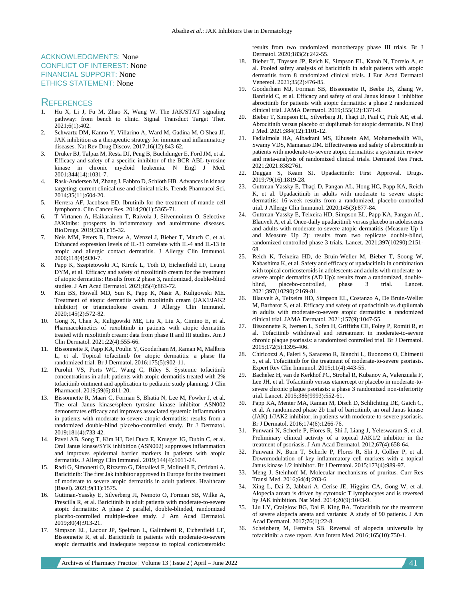#### ACKNOWLEDGMENTS: None CONFLICT OF INTEREST: None FINANCIAL SUPPORT: None ETHICS STATEMENT: None

#### **REFERENCES**

- 1. Hu X, Li J, Fu M, Zhao X, Wang W. The JAK/STAT signaling pathway: from bench to clinic. Signal Transduct Target Ther. 2021;6(1):402.
- 2. Schwartz DM, Kanno Y, Villarino A, Ward M, Gadina M, O'Shea JJ. JAK inhibition as a therapeutic strategy for immune and inflammatory diseases. Nat Rev Drug Discov. 2017;16(12):843-62.
- 3. Druker BJ, Talpaz M, Resta DJ, Peng B, Buchdunger E, Ford JM, et al. Efficacy and safety of a specific inhibitor of the BCR-ABL tyrosine kinase in chronic myeloid leukemia. N Engl J Med. 2001;344(14):1031-7.
- 4. Rask-Andersen M, Zhang J, Fabbro D, Schiöth HB. Advances in kinase targeting: current clinical use and clinical trials. Trends Pharmacol Sci. 2014;35(11):604-20.
- 5. Herrera AF, Jacobsen ED. Ibrutinib for the treatment of mantle cell lymphoma. Clin Cancer Res. 2014;20(1):5365-71.
- 6. T Virtanen A, Haikarainen T, Raivola J, Silvennoinen O. Selective JAKinibs: prospects in inflammatory and autoimmune diseases. BioDrugs. 2019;33(1):15-32.
- 7. Neis MM, Peters B, Dreuw A, Wenzel J, Bieber T, Mauch C, et al. Enhanced expression levels of IL-31 correlate with IL-4 and IL-13 in atopic and allergic contact dermatitis. J Allergy Clin Immunol. 2006;118(4):930-7.
- 8. Papp K, Szepietowski JC, Kircik L, Toth D, Eichenfield LF, Leung DYM, et al. Efficacy and safety of ruxolitinib cream for the treatment of atopic dermatitis: Results from 2 phase 3, randomized, double-blind studies. J Am Acad Dermatol. 2021;85(4):863-72.
- 9. Kim BS, Howell MD, Sun K, Papp K, Nasir A, Kuligowski ME. Treatment of atopic dermatitis with ruxolitinib cream (JAK1/JAK2 inhibitor) or triamcinolone cream. J Allergy Clin Immunol. 2020;145(2):572-82.
- 10. Gong X, Chen X, Kuligowski ME, Liu X, Liu X, Cimino E, et al. Pharmacokinetics of ruxolitinib in patients with atopic dermatitis treated with ruxolitinib cream: data from phase II and III studies. Am J Clin Dermatol. 2021;22(4):555-66.
- 11. Bissonnette R, Papp KA, Poulin Y, Gooderham M, Raman M, Mallbris L, et al. Topical tofacitinib for atopic dermatitis: a phase IIa randomized trial. Br J Dermatol. 2016;175(5):902-11.
- 12. Purohit VS, Ports WC, Wang C, Riley S. Systemic tofacitinib concentrations in adult patients with atopic dermatitis treated with 2% tofacitinib ointment and application to pediatric study planning. J Clin Pharmacol. 2019;59(6):811-20.
- 13. Bissonnette R, Maari C, Forman S, Bhatia N, Lee M, Fowler J, et al. The oral Janus kinase/spleen tyrosine kinase inhibitor ASN002 demonstrates efficacy and improves associated systemic inflammation in patients with moderate-to-severe atopic dermatitis: results from a randomized double-blind placebo-controlled study. Br J Dermatol. 2019;181(4):733-42.
- 14. Pavel AB, Song T, Kim HJ, Del Duca E, Krueger JG, Dubin C, et al. Oral Janus kinase/SYK inhibition (ASN002) suppresses inflammation and improves epidermal barrier markers in patients with atopic dermatitis. J Allergy Clin Immunol. 2019;144(4):1011-24.
- 15. Radi G, Simonetti O, Rizzetto G, Diotallevi F, Molinelli E, Offidani A. Baricitinib: The first Jak inhibitor approved in Europe for the treatment of moderate to severe atopic dermatitis in adult patients. Healthcare (Basel). 2021;9(11):1575.
- 16. Guttman-Yassky E, Silverberg JI, Nemoto O, Forman SB, Wilke A, Prescilla R, et al. Baricitinib in adult patients with moderate-to-severe atopic dermatitis: A phase 2 parallel, double-blinded, randomized placebo-controlled multiple-dose study. J Am Acad Dermatol. 2019;80(4):913-21.
- 17. Simpson EL, Lacour JP, Spelman L, Galimberti R, Eichenfield LF, Bissonnette R, et al. Baricitinib in patients with moderate-to-severe atopic dermatitis and inadequate response to topical corticosteroids:

results from two randomized monotherapy phase III trials. Br J Dermatol. 2020;183(2):242-55.

- 18. Bieber T, Thyssen JP, Reich K, Simpson EL, Katoh N, Torrelo A, et al. Pooled safety analysis of baricitinib in adult patients with atopic dermatitis from 8 randomized clinical trials. J Eur Acad Dermatol Venereol. 2021;35(2):476-85.
- 19. Gooderham MJ, Forman SB, Bissonnette R, Beebe JS, Zhang W, Banfield C, et al. Efficacy and safety of oral Janus kinase 1 inhibitor abrocitinib for patients with atopic dermatitis: a phase 2 randomized clinical trial. JAMA Dermatol. 2019;155(12):1371-9.
- 20. Bieber T, Simpson EL, Silverberg JI, Thaçi D, Paul C, Pink AE, et al. Abrocitinib versus placebo or dupilumab for atopic dermatitis. N Engl J Med. 2021;384(12):1101-12.
- 21. Fadlalmola HA, Albadrani MS, Elhusein AM, Mohamedsalih WE, Swamy VDS, Mamanao DM. Effectiveness and safety of abrocitinib in patients with moderate-to-severe atopic dermatitis: a systematic review and meta-analysis of randomized clinical trials. Dermatol Res Pract. 2021;2021:8382761.
- 22. Duggan S, Keam SJ. Upadacitinib: First Approval. Drugs. 2019;79(16):1819-28.
- 23. Guttman-Yassky E, Thaçi D, Pangan AL, Hong HC, Papp KA, Reich K, et al. Upadacitinib in adults with moderate to severe atopic dermatitis: 16-week results from a randomized, placebo-controlled trial. J Allergy Clin Immunol. 2020;145(3):877-84.
- 24. Guttman-Yassky E, Teixeira HD, Simpson EL, Papp KA, Pangan AL, Blauvelt A, et al. Once-daily upadacitinib versus placebo in adolescents and adults with moderate-to-severe atopic dermatitis (Measure Up 1 and Measure Up 2): results from two replicate double-blind, randomized controlled phase 3 trials. Lancet. 2021;397(10290):2151- 68.
- 25. Reich K, Teixeira HD, de Bruin-Weller M, Bieber T, Soong W, Kabashima K, et al. Safety and efficacy of upadacitinib in combination with topical corticosteroids in adolescents and adults with moderate-tosevere atopic dermatitis (AD Up): results from a randomized, double-<br>blind, placebo-controlled, phase 3 trial. Lancet. blind, placebo-controlled, phase 3 trial. Lancet. 2021;397(10290):2169-81.
- 26. Blauvelt A, Teixeira HD, Simpson EL, Costanzo A, De Bruin-Weller M, Barbarot S, et al. Efficacy and safety of upadacitinib vs dupilumab in adults with moderate-to-severe atopic dermatitis: a randomized clinical trial. JAMA Dermatol. 2021;157(9):1047-55.
- 27. Bissonnette R, Iversen L, Sofen H, Griffiths CE, Foley P, Romiti R, et al. Tofacitinib withdrawal and retreatment in moderate-to-severe chronic plaque psoriasis: a randomized controlled trial. Br J Dermatol. 2015;172(5):1395-406.
- 28. Chiricozzi A, Faleri S, Saraceno R, Bianchi L, Buonomo O, Chimenti S, et al. Tofacitinib for the treatment of moderate-to-severe psoriasis. Expert Rev Clin Immunol. 2015;11(4):443-55.
- 29. Bachelez H, van de Kerkhof PC, Strohal R, Kubanov A, Valenzuela F, Lee JH, et al. Tofacitinib versus etanercept or placebo in moderate-tosevere chronic plaque psoriasis: a phase 3 randomized non-inferiority trial. Lancet. 2015;386(9993):552-61.
- 30. Papp KA, Menter MA, Raman M, Disch D, Schlichting DE, Gaich C, et al. A randomized phase 2b trial of baricitinib, an oral Janus kinase (JAK) 1/JAK2 inhibitor, in patients with moderate-to-severe psoriasis. Br J Dermatol. 2016;174(6):1266-76.
- 31. Punwani N, Scherle P, Flores R, Shi J, Liang J, Yeleswaram S, et al. Preliminary clinical activity of a topical JAK1/2 inhibitor in the treatment of psoriasis. J Am Acad Dermatol. 2012;67(4):658-64.
- 32. Punwani N, Burn T, Scherle P, Flores R, Shi J, Collier P, et al. Downmodulation of key inflammatory cell markers with a topical Janus kinase 1/2 inhibitor. Br J Dermatol. 2015;173(4):989-97.
- 33. Meng J, Steinhoff M. Molecular mechanisms of pruritus. Curr Res Transl Med. 2016;64(4):203-6.
- 34. Xing L, Dai Z, Jabbari A, Cerise JE, Higgins CA, Gong W, et al. Alopecia areata is driven by cytotoxic T lymphocytes and is reversed by JAK inhibition. Nat Med. 2014;20(9):1043-9.
- 35. Liu LY, Craiglow BG, Dai F, King BA. Tofacitinib for the treatment of severe alopecia areata and variants: A study of 90 patients. J Am Acad Dermatol. 2017;76(1):22-8.
- 36. Scheinberg M, Ferreira SB. Reversal of alopecia universalis by tofacitinib: a case report. Ann Intern Med. 2016;165(10):750-1.